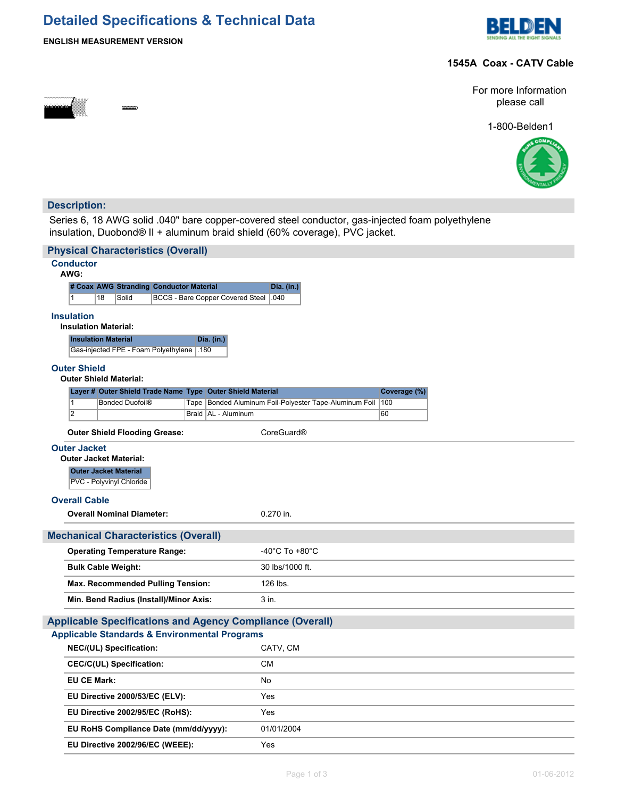# **Detailed Specifications & Technical Data**





## **1545A Coax - CATV Cable**



For more Information please call

1-800-Belden1



## **Description:**

Series 6, 18 AWG solid .040" bare copper-covered steel conductor, gas-injected foam polyethylene insulation, Duobond® II + aluminum braid shield (60% coverage), PVC jacket.

| <b>Physical Characteristics (Overall)</b>                              |                                                               |  |  |  |  |  |  |
|------------------------------------------------------------------------|---------------------------------------------------------------|--|--|--|--|--|--|
| <b>Conductor</b><br>AWG:                                               |                                                               |  |  |  |  |  |  |
| # Coax AWG Stranding Conductor Material                                | <b>Dia.</b> (in.)                                             |  |  |  |  |  |  |
| $\mathbf{1}$<br>18<br>Solid<br><b>BCCS - Bare Copper Covered Steel</b> | .040                                                          |  |  |  |  |  |  |
| <b>Insulation</b><br><b>Insulation Material:</b>                       |                                                               |  |  |  |  |  |  |
| <b>Insulation Material</b><br>Dia. (in.)                               |                                                               |  |  |  |  |  |  |
| Gas-injected FPE - Foam Polyethylene<br>.180                           |                                                               |  |  |  |  |  |  |
| <b>Outer Shield</b><br><b>Outer Shield Material:</b>                   |                                                               |  |  |  |  |  |  |
| Layer # Outer Shield Trade Name Type Outer Shield Material             | Coverage (%)                                                  |  |  |  |  |  |  |
| <b>Bonded Duofoil®</b><br>$\mathbf{1}$<br>Tape<br>$\overline{2}$       | Bonded Aluminum Foil-Polyester Tape-Aluminum Foil   100<br>60 |  |  |  |  |  |  |
| Braid   AL - Aluminum                                                  |                                                               |  |  |  |  |  |  |
| <b>Outer Shield Flooding Grease:</b>                                   | CoreGuard®                                                    |  |  |  |  |  |  |
| <b>Outer Jacket</b>                                                    |                                                               |  |  |  |  |  |  |
| <b>Outer Jacket Material:</b>                                          |                                                               |  |  |  |  |  |  |
| <b>Outer Jacket Material</b><br>PVC - Polyvinyl Chloride               |                                                               |  |  |  |  |  |  |
|                                                                        |                                                               |  |  |  |  |  |  |
| <b>Overall Cable</b>                                                   |                                                               |  |  |  |  |  |  |
| <b>Overall Nominal Diameter:</b>                                       | 0.270 in.                                                     |  |  |  |  |  |  |
| <b>Mechanical Characteristics (Overall)</b>                            |                                                               |  |  |  |  |  |  |
| <b>Operating Temperature Range:</b>                                    | -40°C To +80°C                                                |  |  |  |  |  |  |
| <b>Bulk Cable Weight:</b>                                              | 30 lbs/1000 ft.                                               |  |  |  |  |  |  |
| <b>Max. Recommended Pulling Tension:</b>                               | 126 lbs.                                                      |  |  |  |  |  |  |
| Min. Bend Radius (Install)/Minor Axis:<br>3 in.                        |                                                               |  |  |  |  |  |  |
| <b>Applicable Specifications and Agency Compliance (Overall)</b>       |                                                               |  |  |  |  |  |  |
| <b>Applicable Standards &amp; Environmental Programs</b>               |                                                               |  |  |  |  |  |  |
| NEC/(UL) Specification:                                                | CATV, CM                                                      |  |  |  |  |  |  |
| <b>CEC/C(UL) Specification:</b>                                        | <b>CM</b>                                                     |  |  |  |  |  |  |
| <b>EU CE Mark:</b>                                                     | No                                                            |  |  |  |  |  |  |
| EU Directive 2000/53/EC (ELV):                                         | Yes                                                           |  |  |  |  |  |  |
| EU Directive 2002/95/EC (RoHS):                                        | Yes                                                           |  |  |  |  |  |  |
| EU RoHS Compliance Date (mm/dd/yyyy):                                  | 01/01/2004                                                    |  |  |  |  |  |  |
| EU Directive 2002/96/EC (WEEE):                                        | Yes                                                           |  |  |  |  |  |  |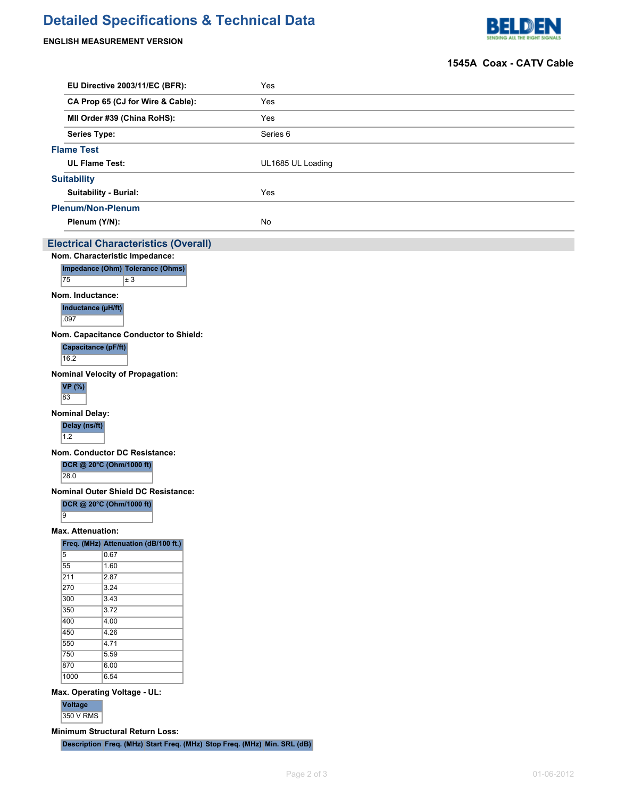# **Detailed Specifications & Technical Data**

## **ENGLISH MEASUREMENT VERSION**



### **1545A Coax - CATV Cable**

|                    | EU Directive 2003/11/EC (BFR):                                                | Yes               |  |  |  |  |  |
|--------------------|-------------------------------------------------------------------------------|-------------------|--|--|--|--|--|
|                    | CA Prop 65 (CJ for Wire & Cable):                                             | Yes               |  |  |  |  |  |
|                    | MII Order #39 (China RoHS):                                                   | Yes               |  |  |  |  |  |
|                    | <b>Series Type:</b>                                                           | Series 6          |  |  |  |  |  |
| <b>Flame Test</b>  |                                                                               |                   |  |  |  |  |  |
|                    | <b>UL Flame Test:</b>                                                         | UL1685 UL Loading |  |  |  |  |  |
| <b>Suitability</b> |                                                                               |                   |  |  |  |  |  |
|                    | <b>Suitability - Burial:</b>                                                  | Yes               |  |  |  |  |  |
|                    | <b>Plenum/Non-Plenum</b>                                                      |                   |  |  |  |  |  |
|                    | Plenum (Y/N):                                                                 | No                |  |  |  |  |  |
|                    |                                                                               |                   |  |  |  |  |  |
|                    | <b>Electrical Characteristics (Overall)</b><br>Nom. Characteristic Impedance: |                   |  |  |  |  |  |
|                    | Impedance (Ohm) Tolerance (Ohms)                                              |                   |  |  |  |  |  |
| 75                 | $\vert \pm 3 \vert$                                                           |                   |  |  |  |  |  |
|                    | Nom. Inductance:                                                              |                   |  |  |  |  |  |
| .097               | Inductance (µH/ft)                                                            |                   |  |  |  |  |  |
|                    |                                                                               |                   |  |  |  |  |  |
|                    | Nom. Capacitance Conductor to Shield:<br>Capacitance (pF/ft)                  |                   |  |  |  |  |  |
| 16.2               |                                                                               |                   |  |  |  |  |  |
|                    | <b>Nominal Velocity of Propagation:</b>                                       |                   |  |  |  |  |  |
| VP(%)<br>83        |                                                                               |                   |  |  |  |  |  |
|                    | <b>Nominal Delay:</b>                                                         |                   |  |  |  |  |  |
| 1.2                | Delay (ns/ft)                                                                 |                   |  |  |  |  |  |
|                    | Nom. Conductor DC Resistance:                                                 |                   |  |  |  |  |  |
|                    | DCR @ 20°C (Ohm/1000 ft)                                                      |                   |  |  |  |  |  |
| 28.0               |                                                                               |                   |  |  |  |  |  |
|                    | Nominal Outer Shield DC Resistance:                                           |                   |  |  |  |  |  |
| $\overline{9}$     | DCR @ 20°C (Ohm/1000 ft)                                                      |                   |  |  |  |  |  |
|                    | <b>Max. Attenuation:</b>                                                      |                   |  |  |  |  |  |
|                    | Freq. (MHz) Attenuation (dB/100 ft.)                                          |                   |  |  |  |  |  |
| $\overline{5}$     | 0.67                                                                          |                   |  |  |  |  |  |
| 55                 | 1.60                                                                          |                   |  |  |  |  |  |
| $\overline{211}$   | 2.87                                                                          |                   |  |  |  |  |  |
| 270                | 3.24                                                                          |                   |  |  |  |  |  |
| 300                | 3.43                                                                          |                   |  |  |  |  |  |
| 350<br>400         | 3.72<br>4.00                                                                  |                   |  |  |  |  |  |
| 450                | 4.26                                                                          |                   |  |  |  |  |  |
| 550                | 4.71                                                                          |                   |  |  |  |  |  |
| 750                | 5.59                                                                          |                   |  |  |  |  |  |
| 870                | 6.00                                                                          |                   |  |  |  |  |  |
| 1000               | 6.54                                                                          |                   |  |  |  |  |  |
|                    | Max. Operating Voltage - UL:                                                  |                   |  |  |  |  |  |
| Voltage            |                                                                               |                   |  |  |  |  |  |
|                    | 350 V RMS                                                                     |                   |  |  |  |  |  |

**Minimum Structural Return Loss:**

**Description Freq. (MHz) Start Freq. (MHz) Stop Freq. (MHz) Min. SRL (dB)**